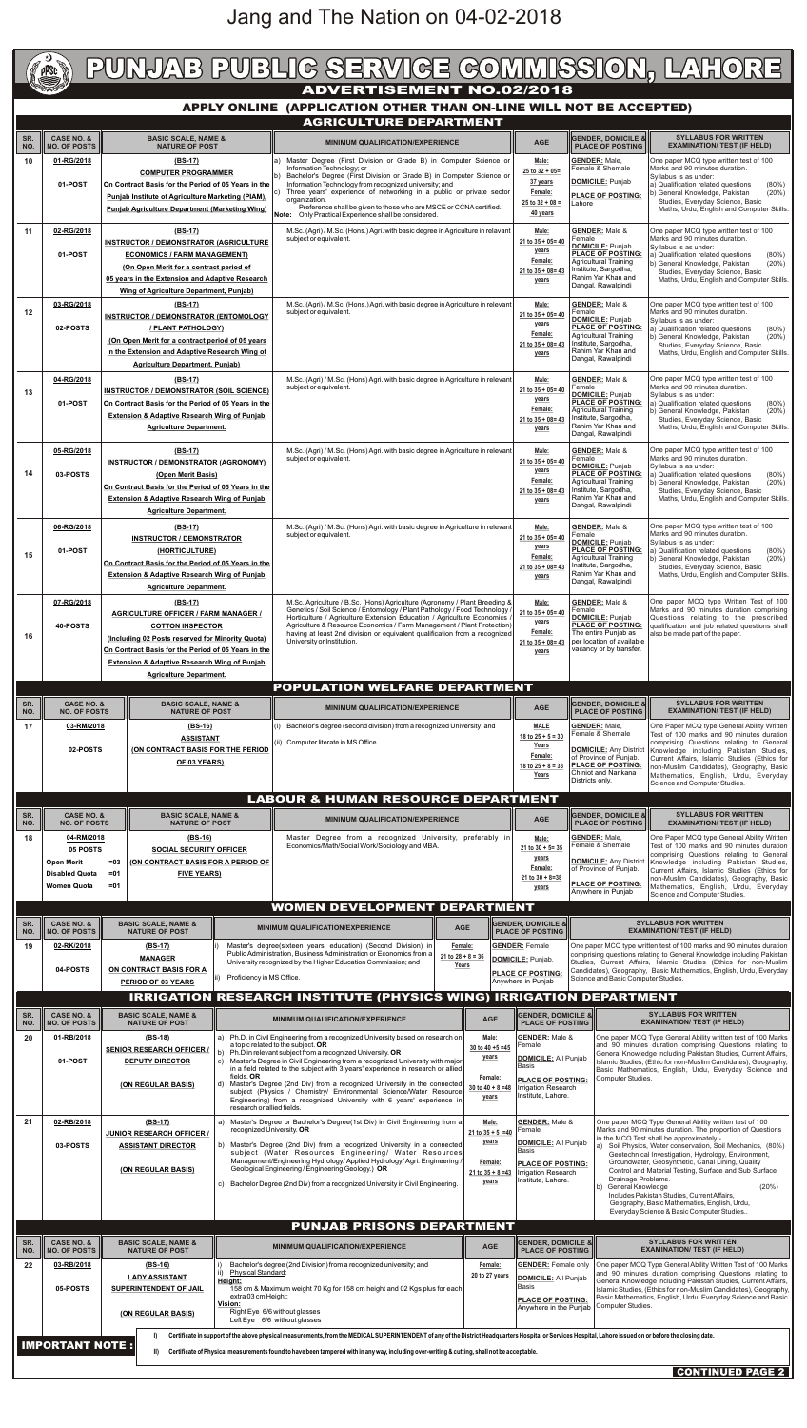|            |                                              |                                                                                                                                                                                                                                                                                             | PUNJAB PUBLIG SERVIGE GOMMISSION, LAHORE                                                                                                                                                                                                                                                                                                                                                                                                                        |                                                                                               |                                                                                                                                                                                                |                                                                                                                                                                                                                                                                                                                  |
|------------|----------------------------------------------|---------------------------------------------------------------------------------------------------------------------------------------------------------------------------------------------------------------------------------------------------------------------------------------------|-----------------------------------------------------------------------------------------------------------------------------------------------------------------------------------------------------------------------------------------------------------------------------------------------------------------------------------------------------------------------------------------------------------------------------------------------------------------|-----------------------------------------------------------------------------------------------|------------------------------------------------------------------------------------------------------------------------------------------------------------------------------------------------|------------------------------------------------------------------------------------------------------------------------------------------------------------------------------------------------------------------------------------------------------------------------------------------------------------------|
|            |                                              |                                                                                                                                                                                                                                                                                             | <b>ADVERTISEMENT NO.02/2018</b>                                                                                                                                                                                                                                                                                                                                                                                                                                 |                                                                                               |                                                                                                                                                                                                |                                                                                                                                                                                                                                                                                                                  |
|            |                                              |                                                                                                                                                                                                                                                                                             | APPLY ONLINE (APPLICATION OTHER THAN ON-LINE WILL NOT BE ACCEPTED)                                                                                                                                                                                                                                                                                                                                                                                              |                                                                                               |                                                                                                                                                                                                |                                                                                                                                                                                                                                                                                                                  |
|            |                                              |                                                                                                                                                                                                                                                                                             | <b>AGRICULTURE DEPARTMENT</b>                                                                                                                                                                                                                                                                                                                                                                                                                                   |                                                                                               |                                                                                                                                                                                                |                                                                                                                                                                                                                                                                                                                  |
| SR.<br>NO. | <b>CASE NO. &amp;</b><br><b>NO. OF POSTS</b> | <b>BASIC SCALE, NAME &amp;</b><br><b>NATURE OF POST</b>                                                                                                                                                                                                                                     | <b>MINIMUM QUALIFICATION/EXPERIENCE</b>                                                                                                                                                                                                                                                                                                                                                                                                                         | <b>AGE</b>                                                                                    | <b>GENDER, DOMICILE &amp;</b><br><b>PLACE OF POSTING</b>                                                                                                                                       | <b>SYLLABUS FOR WRITTEN</b><br><b>EXAMINATION/ TEST (IF HELD)</b>                                                                                                                                                                                                                                                |
| 10         | 01-RG/2018<br>01-POST                        | (BS-17)<br><b>COMPUTER PROGRAMMER</b><br>On Contract Basis for the Period of 05 Years in the<br>Punjab Institute of Agriculture Marketing (PIAM),<br><b>Punjab Agriculture Department (Marketing Wing)</b>                                                                                  | a) Master Degree (First Division or Grade B) in Computer Science or<br>Information Technology; or<br>Bachelor's Degree (First Division or Grade B) in Computer Science or<br>Information Technology from recognized university; and<br>Three years' experience of networking in a public or private sector<br>C)<br>organization.<br>Preference shall be given to those who are MSCE or CCNA certified.<br>Note: Only Practical Experience shall be considered. | Male:<br>$25$ to $32 + 05 =$<br>37 years<br>Female:<br>$25$ to $32 + 08 =$<br>40 years        | <b>GENDER: Male.</b><br>Female & Shemale<br><b>DOMICILE:</b> Punjab<br><b>PLACE OF POSTING:</b><br>_ahore                                                                                      | One paper MCQ type written test of 100<br>Marks and 90 minutes duration.<br>Syllabus is as under:<br>a) Qualification related questions<br>$(80\%)$<br>b) General Knowledge, Pakistan<br>(20%)<br>Studies, Everyday Science, Basic<br>Maths, Urdu, English and Computer Skills.                                  |
| 11         | 02-RG/2018<br>01-POST                        | $(BS-17)$<br><b>INSTRUCTOR / DEMONSTRATOR (AGRICULTURE)</b><br><b>ECONOMICS / FARM MANAGEMENT)</b><br>(On Open Merit for a contract period of<br>05 years in the Extension and Adaptive Research<br><b>Wing of Agriculture Department, Punjab)</b>                                          | M.Sc. (Agri) / M.Sc. (Hons.) Agri. with basic degree in Agriculture in relavant<br>subject or equivalent.                                                                                                                                                                                                                                                                                                                                                       | Male:<br>$21$ to $35 + 05 = 40$<br>years<br>Female:<br>$21$ to $35 + 08 = 43$<br>years        | <b>GENDER: Male &amp;</b><br>Female<br><b>DOMICILE: Punjab</b><br><b>PLACE OF POSTING:</b><br><b>Agricultural Training</b><br>Institute, Sargodha,<br>Rahim Yar Khan and<br>Dahgal, Rawalpindi | One paper MCQ type written test of 100<br>Marks and 90 minutes duration.<br>Syllabus is as under:<br>a) Qualification related questions<br>$(80\%)$<br>b) General Knowledge, Pakistan<br>(20%)<br>Studies, Everyday Science, Basic<br>Maths, Urdu, English and Computer Skills.                                  |
| 12         | 03-RG/2018<br>02-POSTS                       | $(BS-17)$<br><b>INSTRUCTOR / DEMONSTRATOR (ENTOMOLOGY</b><br>/ PLANT PATHOLOGY)<br>(On Open Merit for a contract period of 05 years)<br>in the Extension and Adaptive Research Wing of<br><b>Agriculture Department, Punjab)</b>                                                            | M.Sc. (Agri) / M.Sc. (Hons.) Agri. with basic degree in Agriculture in relevant<br>subject or equivalent.                                                                                                                                                                                                                                                                                                                                                       | Male:<br>$21$ to $35 + 05 = 40$<br>years<br>Female:<br>$21$ to $35 + 08 = 43$<br>years        | <b>GENDER: Male &amp;</b><br>Female<br><b>DOMICILE: Punjab</b><br><b>PLACE OF POSTING:</b><br><b>Agricultural Training</b><br>Institute, Sargodha,<br>Rahim Yar Khan and<br>Dahgal, Rawalpindi | One paper MCQ type written test of 100<br>Marks and 90 minutes duration.<br>Syllabus is as under:<br>a) Qualification related questions<br>$(80\%)$<br>b) General Knowledge, Pakistan<br>(20%)<br>Studies, Everyday Science, Basic<br>Maths, Urdu, English and Computer Skills.                                  |
| 13         | 04-RG/2018<br>01-POST                        | $(BS-17)$<br><b>INSTRUCTOR / DEMONSTRATOR (SOIL SCIENCE)</b><br>On Contract Basis for the Period of 05 Years in the<br><b>Extension &amp; Adaptive Research Wing of Punjab</b><br><b>Agriculture Department.</b>                                                                            | M.Sc. (Agri) / M.Sc. (Hons) Agri. with basic degree in Agriculture in relevant<br>subject or equivalent.                                                                                                                                                                                                                                                                                                                                                        | Male:<br>$21$ to $35 + 05 = 40$<br>years<br>Female:<br>$21$ to $35 + 08 = 43$<br><u>years</u> | <b>GENDER: Male &amp;</b><br>Female<br><b>DOMICILE: Punjab</b><br><b>PLACE OF POSTING:</b><br><b>Agricultural Training</b><br>Institute, Sargodha,<br>Rahim Yar Khan and<br>Dahgal, Rawalpindi | One paper MCQ type written test of 100<br>Marks and 90 minutes duration.<br>Syllabus is as under:<br>a) Qualification related questions<br>$(80\%)$<br>b) General Knowledge, Pakistan<br>(20%)<br>Studies, Everyday Science, Basic<br>Maths, Urdu, English and Computer Skills.                                  |
| 14         | 05-RG/2018<br>03-POSTS                       | $(BS-17)$<br><b>INSTRUCTOR / DEMONSTRATOR (AGRONOMY)</b><br>(Open Merit Basis)<br>On Contract Basis for the Period of 05 Years in the<br><b>Extension &amp; Adaptive Research Wing of Punjab</b><br><b>Agriculture Department.</b>                                                          | M.Sc. (Agri) / M.Sc. (Hons) Agri. with basic degree in Agriculture in relevant<br>subject or equivalent.                                                                                                                                                                                                                                                                                                                                                        | Male:<br>$21$ to $35 + 05 = 40$<br>years<br>Female:<br>$21$ to $35 + 08 = 43$<br>years        | <b>GENDER: Male &amp;</b><br>Female<br><b>DOMICILE:</b> Punjab<br><b>PLACE OF POSTING:</b><br><b>Agricultural Training</b><br>Institute, Sargodha,<br>Rahim Yar Khan and<br>Dahgal, Rawalpindi | One paper MCQ type written test of 100<br>Marks and 90 minutes duration.<br>Syllabus is as under:<br>a) Qualification related questions<br>$(80\%)$<br>b) General Knowledge, Pakistan<br>(20%)<br>Studies, Everyday Science, Basic<br>Maths, Urdu, English and Computer Skills.                                  |
| 15         | 06-RG/2018<br>01-POST                        | $(BS-17)$<br><b>INSTRUCTOR / DEMONSTRATOR</b><br>(HORTICULTURE)<br>On Contract Basis for the Period of 05 Years in the<br><b>Extension &amp; Adaptive Research Wing of Punjab</b><br><b>Agriculture Department.</b>                                                                         | M.Sc. (Agri) / M.Sc. (Hons) Agri. with basic degree in Agriculture in relevant<br>subject or equivalent.                                                                                                                                                                                                                                                                                                                                                        | Male:<br>$21$ to $35 + 05 = 40$<br>years<br>Female:<br>$21$ to $35 + 08 = 43$<br>years        | <b>GENDER: Male &amp;</b><br>Female<br><b>DOMICILE: Punjab</b><br><b>PLACE OF POSTING:</b><br>Agricultural Training<br>Institute, Sargodha,<br>Rahim Yar Khan and<br>Dahgal, Rawalpindi        | One paper MCQ type written test of 100<br>Marks and 90 minutes duration.<br>Syllabus is as under:<br>a) Qualification related questions<br>$(80\%)$<br>b) General Knowledge, Pakistan<br>(20%)<br>Studies, Everyday Science, Basic<br>Maths, Urdu, English and Computer Skills.                                  |
| 16         | 07-RG/2018<br>40-POSTS                       | $(BS-17)$<br><b>AGRICULTURE OFFICER / FARM MANAGER /</b><br><b>COTTON INSPECTOR</b><br>(Including 02 Posts reserved for Minority Quota)<br>On Contract Basis for the Period of 05 Years in the<br><b>Extension &amp; Adaptive Research Wing of Punjab</b><br><b>Agriculture Department.</b> | M.Sc. Agriculture / B.Sc. (Hons) Agriculture (Agronomy / Plant Breeding &<br>Genetics / Soil Science / Entomology / Plant Pathology / Food Technology /<br>Horticulture / Agriculture Extension Education / Agriculture Economics<br>Agriculture & Resource Economics / Farm Management / Plant Protection)<br>having at least 2nd division or equivalent qualification from a recognized<br>University or Institution.                                         | Male:<br>$21$ to $35 + 05 = 40$<br>years<br>Female:<br>$21$ to $35 + 08 = 43$<br>years        | <b>GENDER: Male &amp;</b><br>Female<br><b>DOMICILE: Punjab</b><br><b>PLACE OF POSTING:</b><br>The entire Punjab as<br>per location of available<br>vacancy or by transfer.                     | One paper MCQ type Written Test of 100<br>Marks and 90 minutes duration comprising<br>Questions relating to the prescribed<br>qualification and job related questions shall<br>also be made part of the paper.                                                                                                   |
|            |                                              |                                                                                                                                                                                                                                                                                             | <b>POPULATION WELFARE DEPARTMENT</b>                                                                                                                                                                                                                                                                                                                                                                                                                            |                                                                                               |                                                                                                                                                                                                |                                                                                                                                                                                                                                                                                                                  |
| SR.<br>NO. | <b>CASE NO. &amp;</b><br><b>NO. OF POSTS</b> | <b>BASIC SCALE, NAME &amp;</b><br><b>NATURE OF POST</b>                                                                                                                                                                                                                                     | <b>MINIMUM QUALIFICATION/EXPERIENCE</b>                                                                                                                                                                                                                                                                                                                                                                                                                         | AGE                                                                                           | <b>GENDER, DOMICILE &amp;</b><br><b>PLACE OF POSTING</b>                                                                                                                                       | <b>SYLLABUS FOR WRITTEN</b><br><b>EXAMINATION/ TEST (IF HELD)</b>                                                                                                                                                                                                                                                |
| 17         | 03-RM/2018<br>02-POSTS                       | $(BS-16)$<br><b>ASSISTANT</b><br>(ON CONTRACT BASIS FOR THE PERIOD<br>OF 03 YEARS)                                                                                                                                                                                                          | (i) Bachelor's degree (second division) from a recognized University; and<br>(ii) Computer literate in MS Office.                                                                                                                                                                                                                                                                                                                                               | <b>MALE</b><br>18 to $25 + 5 = 30$<br>Years<br>Female:<br>18 to $25 + 8 = 33$<br>Years        | <b>GENDER: Male,</b><br>Female & Shemale<br><b>DOMICILE:</b> Any District<br>of Province of Punjab.<br><b>PLACE OF POSTING:</b><br>Chiniot and Nankana<br>Dietricte only                       | One Paper MCQ type General Ability Written<br>Test of 100 marks and 90 minutes duration<br>comprising Questions relating to General<br>Knowledge including Pakistan Studies,<br>Current Affairs, Islamic Studies (Ethics for<br>non-Muslim Candidates), Geography, Basic<br>Mathematics, English, Urdu, Everyday |

|                                               |                                                                                                                                                                                                           |                                                                                                                     |                                                                                                                                                                                    |                                                                                                                                                                                                                                                                                                                                                            |  |                                                                                              | Years                                                                                   | ∣∪niniot and Nankana<br>Districts only.                            | Mathematics, English, Urdu, Everyday<br>Science and Computer Studies.                                                                                                                                                                                                                                    |  |  |
|-----------------------------------------------|-----------------------------------------------------------------------------------------------------------------------------------------------------------------------------------------------------------|---------------------------------------------------------------------------------------------------------------------|------------------------------------------------------------------------------------------------------------------------------------------------------------------------------------|------------------------------------------------------------------------------------------------------------------------------------------------------------------------------------------------------------------------------------------------------------------------------------------------------------------------------------------------------------|--|----------------------------------------------------------------------------------------------|-----------------------------------------------------------------------------------------|--------------------------------------------------------------------|----------------------------------------------------------------------------------------------------------------------------------------------------------------------------------------------------------------------------------------------------------------------------------------------------------|--|--|
| <b>LABOUR &amp; HUMAN RESOURCE DEPARTMENT</b> |                                                                                                                                                                                                           |                                                                                                                     |                                                                                                                                                                                    |                                                                                                                                                                                                                                                                                                                                                            |  |                                                                                              |                                                                                         |                                                                    |                                                                                                                                                                                                                                                                                                          |  |  |
| SR.<br>NO.                                    | <b>CASE NO. &amp;</b><br><b>BASIC SCALE, NAME &amp;</b><br><b>NO. OF POSTS</b><br><b>NATURE OF POST</b>                                                                                                   |                                                                                                                     |                                                                                                                                                                                    | <b>MINIMUM QUALIFICATION/EXPERIENCE</b>                                                                                                                                                                                                                                                                                                                    |  |                                                                                              | <b>AGE</b>                                                                              | <b>GENDER, DOMICILE &amp;</b><br><b>PLACE OF POSTING</b>           | <b>SYLLABUS FOR WRITTEN</b><br><b>EXAMINATION/ TEST (IF HELD)</b>                                                                                                                                                                                                                                        |  |  |
| 18                                            | 04-RM/2018<br>(BS-16)<br>05 POSTS<br><b>SOCIAL SECURITY OFFICER</b><br><b>(ON CONTRACT BASIS FOR A PERIOD OF</b><br><b>Open Merit</b><br>$= 0.3$<br><b>FIVE YEARS)</b><br><b>Disabled Quota</b><br>$= 01$ |                                                                                                                     |                                                                                                                                                                                    | Master Degree from a recognized University, preferably in<br>Economics/Math/Social Work/Sociology and MBA.                                                                                                                                                                                                                                                 |  |                                                                                              | Male:<br>$21$ to $30 + 5 = 35$<br>years<br>Female:<br>$21$ to $30 + 8 = 38$             | <b>GENDER: Male.</b><br>Female & Shemale<br>of Province of Punjab. | One Paper MCQ type General Ability Written<br>Test of 100 marks and 90 minutes duration<br>comprising Questions relating to General<br><b>DOMICILE:</b> Any District   Knowledge including Pakistan Studies,<br>Current Affairs, Islamic Studies (Ethics for<br>non-Muslim Candidates), Geography, Basic |  |  |
|                                               | <b>Women Quota</b>                                                                                                                                                                                        | $= 01$                                                                                                              |                                                                                                                                                                                    |                                                                                                                                                                                                                                                                                                                                                            |  |                                                                                              | years                                                                                   | <b>PLACE OF POSTING:</b><br>Anywhere in Punjab                     | Mathematics, English, Urdu, Everyday<br>Science and Computer Studies.                                                                                                                                                                                                                                    |  |  |
|                                               |                                                                                                                                                                                                           |                                                                                                                     |                                                                                                                                                                                    | <b>WOMEN DEVELOPMENT DEPARTMENT</b>                                                                                                                                                                                                                                                                                                                        |  |                                                                                              |                                                                                         |                                                                    |                                                                                                                                                                                                                                                                                                          |  |  |
| SR.<br>NO.                                    | <b>CASE NO. &amp;</b><br><b>NO. OF POSTS</b>                                                                                                                                                              | <b>BASIC SCALE, NAME &amp;</b><br><b>NATURE OF POST</b>                                                             |                                                                                                                                                                                    | <b>MINIMUM QUALIFICATION/EXPERIENCE</b><br><b>AGE</b>                                                                                                                                                                                                                                                                                                      |  | <b>GENDER, DOMICILE &amp;</b><br><b>PLACE OF POSTING</b>                                     |                                                                                         |                                                                    | <b>SYLLABUS FOR WRITTEN</b><br><b>EXAMINATION/ TEST (IF HELD)</b>                                                                                                                                                                                                                                        |  |  |
| 19                                            | 02-RK/2018<br>04-POSTS                                                                                                                                                                                    | $(BS-17)$<br><b>MANAGER</b><br>ON CONTRACT BASIS FOR A<br>Proficiency in MS Office.<br>lii) -<br>PERIOD OF 03 YEARS |                                                                                                                                                                                    | Master's degree(sixteen years' education) (Second Division) in<br>Female:<br>Public Administration, Business Administration or Economics from a<br>$21 to 28 + 8 = 36$<br>University recognized by the Higher Education Commission; and<br>Years                                                                                                           |  | <b>GENDER: Female</b><br>DOMICILE: Punjab.<br><b>PLACE OF POSTING:</b><br>Anywhere in Punjab |                                                                                         | Science and Basic Computer Studies.                                | One paper MCQ type written test of 100 marks and 90 minutes duration<br>comprising questions relating to General Knowledge including Pakistan<br>Studies, Current Affairs, Islamic Studies (Ethics for non-Muslim<br>Candidates), Geography, Basic Mathematics, English, Urdu, Everyday                  |  |  |
|                                               |                                                                                                                                                                                                           |                                                                                                                     |                                                                                                                                                                                    | <b>IRRIGATION RESEARCH INSTITUTE (PHYSICS WING) IRRIGATION DEPARTMENT</b>                                                                                                                                                                                                                                                                                  |  |                                                                                              |                                                                                         |                                                                    |                                                                                                                                                                                                                                                                                                          |  |  |
| SR.<br>NO.                                    | <b>CASE NO. &amp;</b><br><b>NO. OF POSTS</b>                                                                                                                                                              | <b>BASIC SCALE, NAME &amp;</b><br><b>NATURE OF POST</b>                                                             |                                                                                                                                                                                    | <b>MINIMUM QUALIFICATION/EXPERIENCE</b>                                                                                                                                                                                                                                                                                                                    |  | <b>AGE</b>                                                                                   | <b>GENDER, DOMICILE &amp;</b><br><b>PLACE OF POSTING</b>                                |                                                                    | <b>SYLLABUS FOR WRITTEN</b><br><b>EXAMINATION/ TEST (IF HELD)</b>                                                                                                                                                                                                                                        |  |  |
| 20                                            | 01-RB/2018                                                                                                                                                                                                | $(BS-18)$<br><b>SENIOR RESEARCH OFFICER /</b>                                                                       | a) Ph.D. in Civil Engineering from a recognized University based on research on<br>a topic related to the subject. OR<br>Ph.D in relevant subject from a recognized University. OR |                                                                                                                                                                                                                                                                                                                                                            |  | Male:<br>30 to 40 $+5 = 45$<br>years                                                         | <b>GENDER: Male &amp;</b><br>Female<br>DOMICILE: All Punjab                             |                                                                    | One paper MCQ Type General Ability written test of 100 Marks<br>and 90 minutes duration comprising Questions relating to<br>General Knowledge including Pakistan Studies, Current Affairs,                                                                                                               |  |  |
|                                               | 01-POST                                                                                                                                                                                                   | <b>DEPUTY DIRECTOR</b>                                                                                              | c)<br>fields. OR<br>d)                                                                                                                                                             | Master's Degree in Civil Engineering from a recognized University with major<br>in a field related to the subject with 3 years' experience in research or allied<br>Master's Degree (2nd Div) from a recognized University in the connected                                                                                                                |  | Female:                                                                                      | <b>Basis</b><br><b>PLACE OF POSTING:</b>                                                |                                                                    | Islamic Studies, (Ethic for non-Muslim Candidates), Geography,<br>Basic Mathematics, English, Urdu, Everyday Science and<br>Computer Studies.                                                                                                                                                            |  |  |
|                                               |                                                                                                                                                                                                           | (ON REGULAR BASIS)                                                                                                  | research or allied fields.                                                                                                                                                         | subject (Physics / Chemistry/ Environmental Science/Water Resource<br>Engineering) from a recognized University with 6 years' experience in                                                                                                                                                                                                                |  | 30 to $40 + 8 = 48$<br>years                                                                 | <b>Irrigation Research</b><br>Institute, Lahore.                                        |                                                                    |                                                                                                                                                                                                                                                                                                          |  |  |
| 21                                            | 02-RB/2018                                                                                                                                                                                                | $(BS-17)$<br><b>JUNIOR RESEARCH OFFICER /</b>                                                                       |                                                                                                                                                                                    | a) Master's Degree or Bachelor's Degree(1st Div) in Civil Engineering from a<br>recognized University. OR                                                                                                                                                                                                                                                  |  | Male:<br>$21$ to $35 + 5 = 40$<br>years                                                      | <b>GENDER: Male &amp;</b><br>Female                                                     |                                                                    | One paper MCQ Type General Ability written test of 100<br>Marks and 90 minutes duration. The proportion of Questions<br>in the MCQ Test shall be approximately:-                                                                                                                                         |  |  |
|                                               | 03-POSTS                                                                                                                                                                                                  | <b>ASSISTANT DIRECTOR</b><br>(ON REGULAR BASIS)                                                                     |                                                                                                                                                                                    | b) Master's Degree (2nd Div) from a recognized University in a connected<br>subject (Water Resources Engineering/ Water Resources<br>Management/Engineering Hydrology/ Applied Hydrology/ Agri. Engineering /<br>Geological Engineering / Engineering Geology.) OR                                                                                         |  | Female:<br>$21 to 35 + 8 = 43$                                                               | <b>DOMICILE: All Punjab</b><br>Basis<br><b>PLACE OF POSTING:</b><br>Irrigation Research |                                                                    | a) Soil Physics, Water conservation, Soil Mechanics, (80%)<br>Geotechnical Investigation, Hydrology, Environment,<br>Groundwater, Geosynthetic, Canal Lining, Quality<br>Control and Material Testing, Surface and Sub Surface                                                                           |  |  |
|                                               |                                                                                                                                                                                                           |                                                                                                                     | C)                                                                                                                                                                                 | Bachelor Degree (2nd Div) from a recognized University in Civil Engineering.                                                                                                                                                                                                                                                                               |  | years                                                                                        | Institute, Lahore.                                                                      | Drainage Problems.<br>b) General Knowledge                         | (20%)<br>Includes Pakistan Studies, Current Affairs,<br>Geography, Basic Mathematics, English, Urdu,<br>Everyday Science & Basic Computer Studies                                                                                                                                                        |  |  |
|                                               |                                                                                                                                                                                                           |                                                                                                                     |                                                                                                                                                                                    | <b>PUNJAB PRISONS DEPARTMENT</b>                                                                                                                                                                                                                                                                                                                           |  |                                                                                              |                                                                                         |                                                                    |                                                                                                                                                                                                                                                                                                          |  |  |
| SR.<br>NO.                                    | <b>CASE NO. &amp;</b><br><b>NO. OF POSTS</b>                                                                                                                                                              | <b>BASIC SCALE, NAME &amp;</b><br><b>NATURE OF POST</b>                                                             |                                                                                                                                                                                    | <b>MINIMUM QUALIFICATION/EXPERIENCE</b>                                                                                                                                                                                                                                                                                                                    |  | <b>AGE</b>                                                                                   | <b>GENDER, DOMICILE &amp;</b><br><b>PLACE OF POSTING</b>                                |                                                                    | <b>SYLLABUS FOR WRITTEN</b><br><b>EXAMINATION/ TEST (IF HELD)</b>                                                                                                                                                                                                                                        |  |  |
| 22                                            | 03-RB/2018                                                                                                                                                                                                | $(BS-16)$<br><b>LADY ASSISTANT</b>                                                                                  | <b>Physical Standard:</b><br>Height:                                                                                                                                               | Bachelor's degree (2nd Division) from a recognized university; and                                                                                                                                                                                                                                                                                         |  | Female:<br>20 to 27 years                                                                    | <b>GENDER: Female only</b><br>DOMICILE: All Punjab<br>Basis                             |                                                                    | One paper MCQ Type General Ability Written Test of 100 Marks<br>and 90 minutes duration comprising Questions relating to<br>General Knowledge including Pakistan Studies, Current Affairs,                                                                                                               |  |  |
|                                               | 05-POSTS                                                                                                                                                                                                  | SUPERINTENDENT OF JAIL<br>(ON REGULAR BASIS)                                                                        | extra 03 cm Height;<br>Vision:                                                                                                                                                     | 158 cm & Maximum weight 70 Kg for 158 cm height and 02 Kgs plus for each<br>Right Eye 6/6 without glasses                                                                                                                                                                                                                                                  |  |                                                                                              | <b>PLACE OF POSTING:</b><br>Anywhere in the Punjab                                      | Computer Studies.                                                  | Islamic Studies, (Ethics for non-Muslim Candidates), Geography,<br>Basic Mathematics, English, Urdu, Everyday Science and Basic                                                                                                                                                                          |  |  |
|                                               |                                                                                                                                                                                                           |                                                                                                                     |                                                                                                                                                                                    | Left Eye 6/6 without glasses                                                                                                                                                                                                                                                                                                                               |  |                                                                                              |                                                                                         |                                                                    |                                                                                                                                                                                                                                                                                                          |  |  |
|                                               | <b>IMPORTANT NOTE:</b>                                                                                                                                                                                    | Ð<br>$\parallel$                                                                                                    |                                                                                                                                                                                    | Certificate in support of the above physical measurements, from the MEDICAL SUPERINTENDENT of any of the District Headquarters Hospital or Services Hospital, Lahore issued on or before the closing date.<br>Certificate of Physical measurements found to have been tampered with in any way, including over-writing & cutting, shall not be acceptable. |  |                                                                                              |                                                                                         |                                                                    |                                                                                                                                                                                                                                                                                                          |  |  |
|                                               |                                                                                                                                                                                                           |                                                                                                                     |                                                                                                                                                                                    |                                                                                                                                                                                                                                                                                                                                                            |  |                                                                                              |                                                                                         |                                                                    | CONTINUED PAGE 2                                                                                                                                                                                                                                                                                         |  |  |

## Jang and The Nation on 04-02-2018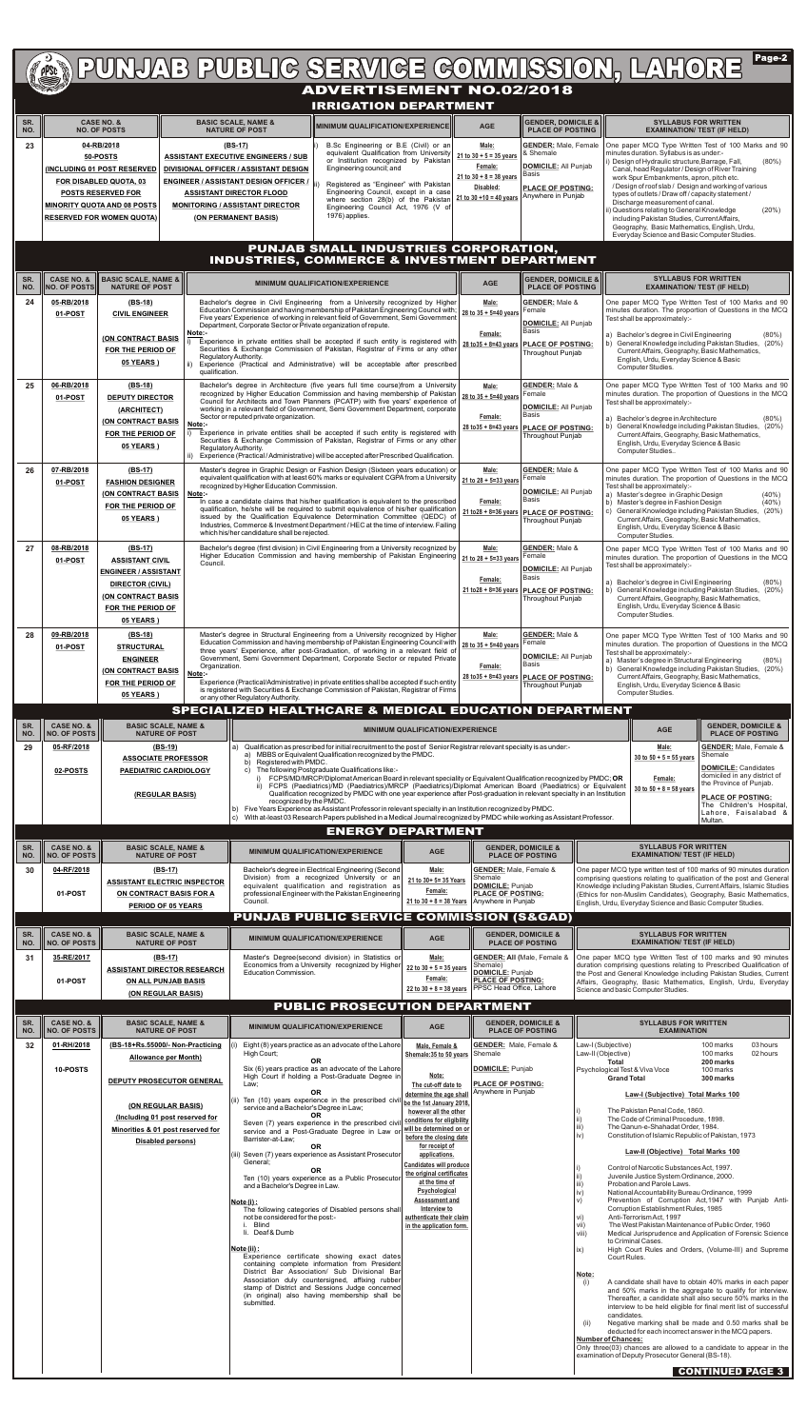|            |                                              |                                                                        |                         |                                                                                     | <b>ADVERTISEMENT NO.02/2018</b>                                                                                                                                                                                                                                                         |                                                                                   |                                                         |                                                          |                           | <b>PUNJAB PUBLIC SERVICE COMMISSION, LAHORE</b>                                                                                                                                                                       | Page-2                        |
|------------|----------------------------------------------|------------------------------------------------------------------------|-------------------------|-------------------------------------------------------------------------------------|-----------------------------------------------------------------------------------------------------------------------------------------------------------------------------------------------------------------------------------------------------------------------------------------|-----------------------------------------------------------------------------------|---------------------------------------------------------|----------------------------------------------------------|---------------------------|-----------------------------------------------------------------------------------------------------------------------------------------------------------------------------------------------------------------------|-------------------------------|
|            |                                              |                                                                        |                         |                                                                                     | <b>IRRIGATION DEPARTMENT</b>                                                                                                                                                                                                                                                            |                                                                                   |                                                         |                                                          |                           |                                                                                                                                                                                                                       |                               |
| SR.<br>NO. |                                              | <b>CASE NO. &amp;</b><br><b>NO. OF POSTS</b>                           |                         | <b>BASIC SCALE, NAME &amp;</b><br><b>NATURE OF POST</b>                             | MINIMUM QUALIFICATION/EXPERIENCE                                                                                                                                                                                                                                                        |                                                                                   | <b>AGE</b>                                              | <b>GENDER, DOMICILE &amp;</b><br><b>PLACE OF POSTING</b> |                           | <b>SYLLABUS FOR WRITTEN</b><br><b>EXAMINATION/ TEST (IF HELD)</b>                                                                                                                                                     |                               |
| 23         |                                              | 04-RB/2018                                                             |                         | (BS-17)                                                                             | B.Sc Engineering or B.E (Civil) or an<br>equivalent Qualification from University                                                                                                                                                                                                       |                                                                                   | Male:                                                   | <b>GENDER: Male, Female</b><br>& Shemale                 |                           | One paper MCQ Type Written Test of 100 Marks and 90<br>minutes duration. Syllabus is as under:-                                                                                                                       |                               |
|            |                                              | 50-POSTS<br>(INCLUDING 01 POST RESERVED                                |                         | <b>ASSISTANT EXECUTIVE ENGINEERS / SUB</b><br>DIVISIONAL OFFICER / ASSISTANT DESIGN | or Institution recognized by Pakistan<br>Engineering council; and                                                                                                                                                                                                                       |                                                                                   | $21 to 30 + 5 = 35 years$<br>Female:                    | DOMICILE: All Punjab<br> Basis                           |                           | i) Design of Hydraulic structure, Barrage, Fall,<br>Canal, head Regulator / Design of River Training                                                                                                                  | $(80\%)$                      |
|            |                                              | FOR DISABLED QUOTA, 03<br><b>POSTS RESERVED FOR</b>                    |                         | <b>ENGINEER / ASSISTANT DESIGN OFFICER /</b><br><b>ASSISTANT DIRECTOR FLOOD</b>     | Registered as "Engineer" with Pakistan<br>Engineering Council, except in a case                                                                                                                                                                                                         |                                                                                   | $21 to 30 + 8 = 38$ years<br>Disabled:                  | <b>PLACE OF POSTING:</b><br>Anywhere in Punjab           |                           | work Spur Embankments, apron, pitch etc.<br>/ Design of roof slab / Design and working of various<br>types of outlets / Draw off / capacity statement /                                                               |                               |
|            |                                              | <b>MINORITY QUOTA AND 08 POSTS</b><br><b>RESERVED FOR WOMEN QUOTA)</b> |                         | <b>MONITORING / ASSISTANT DIRECTOR</b><br>(ON PERMANENT BASIS)                      | where section 28(b) of the Pakistan<br>Engineering Council Act, 1976 (V of<br>1976) applies.                                                                                                                                                                                            |                                                                                   | $21$ to $30 + 10 = 40$ years                            |                                                          |                           | Discharge measurement of canal.<br>ii) Questions relating to General Knowledge                                                                                                                                        | (20%)                         |
|            |                                              |                                                                        |                         |                                                                                     |                                                                                                                                                                                                                                                                                         |                                                                                   |                                                         |                                                          |                           | including Pakistan Studies, Current Affairs,<br>Geography, Basic Mathematics, English, Urdu,<br>Everyday Science and Basic Computer Studies.                                                                          |                               |
|            |                                              |                                                                        |                         |                                                                                     | PUNJAB SMALL INDUSTRIES CORPORATION,<br><b>INDUSTRIES, COMMERCE &amp; INVESTMENT DEPARTMENT</b>                                                                                                                                                                                         |                                                                                   |                                                         |                                                          |                           |                                                                                                                                                                                                                       |                               |
| SR.        | <b>CASE NO. &amp;</b>                        | <b>BASIC SCALE, NAME &amp;   </b>                                      |                         |                                                                                     | <b>MINIMUM QUALIFICATION/EXPERIENCE</b>                                                                                                                                                                                                                                                 |                                                                                   |                                                         | <b>GENDER, DOMICILE &amp;</b>                            |                           | <b>SYLLABUS FOR WRITTEN</b>                                                                                                                                                                                           |                               |
| NO.<br>24  | <b>NO. OF POSTS</b><br>05-RB/2018            | <b>NATURE OF POST</b><br>$(BS-18)$                                     |                         |                                                                                     | Bachelor's degree in Civil Engineering from a University recognized by Higher                                                                                                                                                                                                           |                                                                                   | <b>AGE</b><br>Male:                                     | <b>PLACE OF POSTING</b><br><b>GENDER: Male &amp;</b>     |                           | <b>EXAMINATION/ TEST (IF HELD)</b><br>One paper MCQ Type Written Test of 100 Marks and 90                                                                                                                             |                               |
|            | 01-POST                                      | <b>CIVIL ENGINEER</b>                                                  |                         | Department, Corporate Sector or Private organization of repute.                     | Education Commission and having membership of Pakistan Engineering Council with;<br>Five years' Experience of working in relevant field of Government, Semi Government                                                                                                                  |                                                                                   | 28 to 35 + 5=40 years                                   | Female<br><b>DOMICILE:</b> All Punjab                    |                           | minutes duration. The proportion of Questions in the MCQ<br>Test shall be approximately:-                                                                                                                             |                               |
|            |                                              | <b>(ON CONTRACT BASIS</b>                                              | Note:-                  |                                                                                     | Experience in private entities shall be accepted if such entity is registered with<br>Securities & Exchange Commission of Pakistan, Registrar of Firms or any other                                                                                                                     |                                                                                   | Female:<br>$28$ to $35 + 8 = 43$ years                  | Basis<br><b>PLACE OF POSTING:</b>                        |                           | a) Bachelor's degree in Civil Engineering<br>b) General Knowledge including Pakistan Studies, (20%)                                                                                                                   | $(80\%)$                      |
|            |                                              | FOR THE PERIOD OF<br><b>05 YEARS</b> )                                 |                         | Regulatory Authority.                                                               | ii) Experience (Practical and Administrative) will be acceptable after prescribed                                                                                                                                                                                                       |                                                                                   |                                                         | <b>Throughout Punjab</b>                                 |                           | Current Affairs, Geography, Basic Mathematics,<br>English, Urdu, Everyday Science & Basic<br>Computer Studies.                                                                                                        |                               |
| 25         | 06-RB/2018                                   | $(BS-18)$                                                              | qualification.          |                                                                                     | Bachelor's degree in Architecture (five years full time course)from a University                                                                                                                                                                                                        |                                                                                   | Male:                                                   | <b>GENDER: Male &amp;</b>                                |                           | One paper MCQ Type Written Test of 100 Marks and 90                                                                                                                                                                   |                               |
|            | 01-POST                                      | <b>DEPUTY DIRECTOR</b><br>(ARCHITECT)                                  |                         |                                                                                     | recognized by Higher Education Commission and having membership of Pakistan<br>Council for Architects and Town Planners (PCATP) with five years' experience of<br>working in a relevant field of Government, Semi Government Department, corporate                                      |                                                                                   | 28 to 35 + 5=40 years                                   | Female<br><b>DOMICILE:</b> All Punjab                    |                           | minutes duration. The proportion of Questions in the MCQ<br>Test shall be approximately:-                                                                                                                             |                               |
|            |                                              | (ON CONTRACT BASIS<br>FOR THE PERIOD OF                                | Note:-<br>i)            | Sector or reputed private organization.                                             | Experience in private entities shall be accepted if such entity is registered with                                                                                                                                                                                                      |                                                                                   | Female:                                                 | Basis<br>28 to 35 + 8=43 years   PLACE OF POSTING:       |                           | a) Bachelor's degree in Architecture<br>b) General Knowledge including Pakistan Studies, (20%)                                                                                                                        | $(80\%)$                      |
|            |                                              | <b>05 YEARS</b> )                                                      | ii).                    | Regulatory Authority.                                                               | Securities & Exchange Commission of Pakistan, Registrar of Firms or any other<br>Experience (Practical/Administrative) will be accepted after Prescribed Qualification.                                                                                                                 |                                                                                   |                                                         | Throughout Punjab                                        |                           | Current Affairs, Geography, Basic Mathematics,<br>English, Urdu, Everyday Science & Basic<br>Computer Studies                                                                                                         |                               |
| 26         | 07-RB/2018                                   | $(BS-17)$                                                              |                         |                                                                                     | Master's degree in Graphic Design or Fashion Design (Sixteen years education) or<br>equivalent qualification with at least 60% marks or equivalent CGPA from a University   21 to 28 + 5=33 years                                                                                       |                                                                                   | Male:                                                   | <b>GENDER: Male &amp;</b><br>Female                      |                           | One paper MCQ Type Written Test of 100 Marks and 90<br>minutes duration. The proportion of Questions in the MCQ                                                                                                       |                               |
|            | 01-POST                                      | <b>FASHION DESIGNER</b><br><b>(ON CONTRACT BASIS</b>                   | Note:-                  | recognized by Higher Education Commission.                                          |                                                                                                                                                                                                                                                                                         |                                                                                   |                                                         | DOMICILE: All Punjab<br>Basis                            |                           | Test shall be approximately:-<br>a) Master's degree in Graphic Design                                                                                                                                                 | $(40\%)$                      |
|            |                                              | FOR THE PERIOD OF<br><b>05 YEARS</b> )                                 |                         |                                                                                     | In case a candidate claims that his/her qualification is equivalent to the prescribed<br>qualification, he/she will be required to submit equivalence of his/her qualification<br>issued by the Qualification Equivalence Determination Committee (QEDC) of                             |                                                                                   | Female:<br>21 to 28 + 8=36 years                        | <b>PLACE OF POSTING:</b><br>Throughout Punjab            | C)                        | b) Master's degree in Fashion Design<br>General Knowledge including Pakistan Studies, (20%)<br>Current Affairs, Geography, Basic Mathematics,                                                                         | $(40\%)$                      |
|            |                                              |                                                                        |                         | which his/her candidature shall be rejected.                                        | Industries, Commerce & Investment Department / HEC at the time of interview. Failing                                                                                                                                                                                                    |                                                                                   |                                                         |                                                          |                           | English, Urdu, Everyday Science & Basic<br>Computer Studies.                                                                                                                                                          |                               |
| 27         | 08-RB/2018<br>01-POST                        | $(BS-17)$<br><b>ASSISTANT CIVIL</b>                                    | Council.                |                                                                                     | Bachelor's degree (first division) in Civil Engineering from a University recognized by<br>Higher Education Commission and having membership of Pakistan Engineering 21 to 28 + 5=33 years                                                                                              |                                                                                   | Male:                                                   | <b>GENDER: Male &amp;</b><br>Female                      |                           | One paper MCQ Type Written Test of 100 Marks and 90<br>minutes duration. The proportion of Questions in the MCQ<br>Test shall be approximately:-                                                                      |                               |
|            |                                              | <b>ENGINEER / ASSISTANT</b><br><b>DIRECTOR (CIVIL)</b>                 |                         |                                                                                     |                                                                                                                                                                                                                                                                                         |                                                                                   | Female:                                                 | DOMICILE: All Punjab<br>Basis                            |                           | a) Bachelor's degree in Civil Engineering                                                                                                                                                                             | $(80\%)$                      |
|            |                                              | <b>(ON CONTRACT BASIS</b><br>FOR THE PERIOD OF                         |                         |                                                                                     |                                                                                                                                                                                                                                                                                         |                                                                                   | $21$ to $28 + 8 = 36$ years                             | <b>PLACE OF POSTING:</b><br>Throughout Punjab            |                           | b) General Knowledge including Pakistan Studies, (20%)<br>Current Affairs, Geography, Basic Mathematics,<br>English, Urdu, Everyday Science & Basic                                                                   |                               |
|            |                                              | <b>05 YEARS</b> )                                                      |                         |                                                                                     |                                                                                                                                                                                                                                                                                         |                                                                                   |                                                         |                                                          |                           | Computer Studies.                                                                                                                                                                                                     |                               |
| 28         | 09-RB/2018<br>01-POST                        | (BS-18)<br><b>STRUCTURAL</b>                                           |                         |                                                                                     | Master's degree in Structural Engineering from a University recognized by Higher<br>Education Commission and having membership of Pakistan Engineering Council with   28 to 35 + 5=40 years<br>three years' Experience, after post-Graduation, of working in a relevant field of        |                                                                                   | Male:                                                   | <b>GENDER: Male &amp;</b><br>Female                      |                           | One paper MCQ Type Written Test of 100 Marks and 90<br>minutes duration. The proportion of Questions in the MCQ<br>Test shall be approximately:-                                                                      |                               |
|            |                                              | <b>ENGINEER</b><br>(ON CONTRACT BASIS                                  | Organization.<br>Note:- |                                                                                     | Government, Semi Government Department, Corporate Sector or reputed Private                                                                                                                                                                                                             |                                                                                   | Female:<br>$28$ to $35 + 8 = 43$ years                  | <b>DOMICILE: All Punjab</b><br>Basis                     |                           | a) Master's degree in Structural Engineering<br>b) General Knowledge including Pakistan Studies, (20%)<br>Current Affairs, Geography, Basic Mathematics,                                                              | $(80\%)$                      |
|            |                                              | FOR THE PERIOD OF<br><b>05 YEARS</b> )                                 |                         | or any other Regulatory Authority.                                                  | Experience (Practical/Administrative) in private entities shall be accepted if such entity<br>is registered with Securities & Exchange Commission of Pakistan, Registrar of Firms                                                                                                       |                                                                                   |                                                         | <b>PLACE OF POSTING:</b><br><b>Throughout Punjab</b>     |                           | English, Urdu, Everyday Science & Basic<br>Computer Studies.                                                                                                                                                          |                               |
|            |                                              |                                                                        |                         |                                                                                     | <b>SPECIALIZED HEALTHCARE &amp; MEDICAL EDUCATION DEPARTMENT</b>                                                                                                                                                                                                                        |                                                                                   |                                                         |                                                          |                           |                                                                                                                                                                                                                       |                               |
| SR.<br>NO. | <b>CASE NO. &amp;</b><br>NO. OF POSTS        | <b>BASIC SCALE, NAME &amp;</b><br><b>NATURE OF POST</b>                |                         |                                                                                     |                                                                                                                                                                                                                                                                                         |                                                                                   |                                                         |                                                          |                           |                                                                                                                                                                                                                       | <b>GENDER, DOMICILE &amp;</b> |
| 29         |                                              |                                                                        |                         |                                                                                     |                                                                                                                                                                                                                                                                                         | <b>MINIMUM QUALIFICATION/EXPERIENCE</b>                                           |                                                         |                                                          |                           | <b>AGE</b>                                                                                                                                                                                                            | <b>PLACE OF POSTING</b>       |
|            | 05-RF/2018                                   | $(BS-19)$<br><b>ASSOCIATE PROFESSOR</b>                                |                         | a)<br>Registered with PMDC.<br>b)                                                   | Qualification as prescribed for initial recruitment to the post of Senior Registrar relevant specialty is as under:-<br>MBBS or Equivalent Qualification recognized by the PMDC.                                                                                                        |                                                                                   |                                                         |                                                          |                           | Male:<br>Shemale<br>30 to $50 + 5 = 55$ years                                                                                                                                                                         | <b>GENDER:</b> Male, Female & |
|            | 02-POSTS                                     | <b>PAEDIATRIC CARDIOLOGY</b>                                           |                         |                                                                                     | c) The following Postgraduate Qualifications like:-<br>FCPS/MD/MRCP/Diplomat American Board in relevant speciality or Equivalent Qualification recognized by PMDC; OR<br>ii) FCPS (Paediatrics)/MD (Paediatrics)/MRCP (Paediatrics)/Diplomat American Board (Paediatrics) or Equivalent |                                                                                   |                                                         |                                                          |                           | <b>DOMICILE: Candidates</b><br>Female:<br>the Province of Punjab.                                                                                                                                                     | domiciled in any district of  |
|            |                                              | (REGULAR BASIS)                                                        |                         | recognized by the PMDC.                                                             | Qualification recognized by PMDC with one year experience after Post-graduation in relevant specialty in an Institution                                                                                                                                                                 |                                                                                   |                                                         |                                                          |                           | 30 to $50 + 8 = 58$ years<br><b>PLACE OF POSTING:</b>                                                                                                                                                                 | The Children's Hospital,      |
|            |                                              |                                                                        |                         | C)                                                                                  | b) Five Years Experience as Assistant Professor in relevant specialty in an Institution recognized by PMDC.<br>With at-least 03 Research Papers published in a Medical Journal recognized by PMDC while working as Assistant Professor.                                                 |                                                                                   |                                                         |                                                          |                           | Multan.                                                                                                                                                                                                               | Lahore, Faisalabad &          |
| SR.        | <b>CASE NO. &amp;</b>                        | <b>BASIC SCALE, NAME &amp;</b>                                         |                         |                                                                                     | <b>ENERGY DEPARTMENT</b><br><b>MINIMUM QUALIFICATION/EXPERIENCE</b>                                                                                                                                                                                                                     | <b>AGE</b>                                                                        |                                                         | <b>GENDER, DOMICILE &amp;</b>                            |                           | <b>SYLLABUS FOR WRITTEN</b>                                                                                                                                                                                           |                               |
| NO.<br>30  | <b>NO. OF POSTS</b><br>04-RF/2018            | <b>NATURE OF POST</b><br>$(BS-17)$                                     |                         |                                                                                     | Bachelor's degree in Electrical Engineering (Second                                                                                                                                                                                                                                     | Male:                                                                             | <b>GENDER:</b> Male, Female &                           | <b>PLACE OF POSTING</b>                                  |                           | <b>EXAMINATION/ TEST (IF HELD)</b><br>One paper MCQ type written test of 100 marks of 90 minutes duration                                                                                                             |                               |
|            | 01-POST                                      | <b>ASSISTANT ELECTRIC INSPECTOR</b><br>ON CONTRACT BASIS FOR A         |                         |                                                                                     | Division) from a recognized University or an<br>equivalent qualification and registration as<br>professional Engineer with the Pakistan Engineering                                                                                                                                     | 21 to 30+ 5= 35 Years<br>Female:                                                  | Shemale<br>DOMICILE: Punjab<br><b>PLACE OF POSTING:</b> |                                                          |                           | comprising questions relating to qualification of the post and General<br>Knowledge including Pakistan Studies, Current Affairs, Islamic Studies<br>(Ethics for non-Muslim Candidates), Geography, Basic Mathematics, |                               |
|            |                                              | PERIOD OF 05 YEARS                                                     |                         | Council.                                                                            | <b>PUNJAB PUBLIC SERVICE COMMISSION (S&amp;GAD)</b>                                                                                                                                                                                                                                     | $21 to 30 + 8 = 38$ Years                                                         | Anywhere in Punjab                                      |                                                          |                           | English, Urdu, Everyday Science and Basic Computer Studies.                                                                                                                                                           |                               |
| SR.<br>NO. | <b>CASE NO. &amp;</b><br><b>NO. OF POSTS</b> | <b>BASIC SCALE, NAME &amp;</b><br><b>NATURE OF POST</b>                |                         |                                                                                     | <b>MINIMUM QUALIFICATION/EXPERIENCE</b>                                                                                                                                                                                                                                                 | <b>AGE</b>                                                                        |                                                         | <b>GENDER, DOMICILE &amp;</b><br><b>PLACE OF POSTING</b> |                           | <b>SYLLABUS FOR WRITTEN</b><br><b>EXAMINATION/ TEST (IF HELD)</b>                                                                                                                                                     |                               |
| 31         | 35-RE/2017                                   | $(BS-17)$                                                              |                         |                                                                                     | Master's Degree(second division) in Statistics or<br>Economics from a University recognized by Higher                                                                                                                                                                                   | Male:                                                                             | <b>GENDER: All (Male, Female &amp;</b><br>Shemale)      |                                                          |                           | One paper MCQ type Written Test of 100 marks and 90 minutes                                                                                                                                                           |                               |
|            | 01-POST                                      | <b>ASSISTANT DIRECTOR RESEARCH</b><br><b>ON ALL PUNJAB BASIS</b>       |                         | <b>Education Commission.</b>                                                        |                                                                                                                                                                                                                                                                                         | $22$ to $30 + 5 = 35$ years<br>Female:                                            | DOMICILE: Punjab<br><b>PLACE OF POSTING:</b>            |                                                          |                           | duration comprising questions relating to Prescribed Qualification of<br>the Post and General Knowledge including Pakistan Studies, Current<br>Affairs, Geography, Basic Mathematics, English, Urdu, Everyday         |                               |
|            |                                              | (ON REGULAR BASIS)                                                     |                         |                                                                                     | PUBLIC PROSECUTION DEPARTMENT                                                                                                                                                                                                                                                           | $22 to 30 + 8 = 38 \text{ years}$                                                 | <b>PPSC Head Office, Lahore</b>                         |                                                          |                           | Science and basic Computer Studies.                                                                                                                                                                                   |                               |
| SR.<br>NO. | CASE NO. &<br><b>NO. OF POSTS</b>            | <b>BASIC SCALE, NAME &amp;</b><br><b>NATURE OF POST</b>                |                         |                                                                                     | <b>MINIMUM QUALIFICATION/EXPERIENCE</b>                                                                                                                                                                                                                                                 | <b>AGE</b>                                                                        |                                                         | <b>GENDER, DOMICILE &amp;</b><br><b>PLACE OF POSTING</b> |                           | <b>SYLLABUS FOR WRITTEN</b><br><b>EXAMINATION</b>                                                                                                                                                                     |                               |
| 32         | 01-RH/2018                                   | (BS-18+Rs.55000/- Non-Practicing                                       |                         | High Court;                                                                         | Eight (8) years practice as an advocate of the Lahore                                                                                                                                                                                                                                   | Male, Female &                                                                    | <b>GENDER:</b> Male, Female &                           |                                                          | Law-I (Subjective)        | 100 marks<br>100 marks                                                                                                                                                                                                | 03 hours<br>02 hours          |
|            | 10-POSTS                                     | <b>Allowance per Month)</b>                                            |                         |                                                                                     | <b>OR</b><br>Six (6) years practice as an advocate of the Lahore                                                                                                                                                                                                                        | Shemale: 35 to 50 years Shemale<br>Note:                                          | DOMICILE: Punjab                                        |                                                          | Law-II (Objective)        | <b>Total</b><br>200 marks<br>Psychological Test & Viva Voce<br>100 marks                                                                                                                                              |                               |
|            |                                              | <b>DEPUTY PROSECUTOR GENERAL</b>                                       |                         | Law;                                                                                | High Court if holding a Post-Graduate Degree in<br>OR                                                                                                                                                                                                                                   | The cut-off date to<br>determine the age shall                                    | <b>PLACE OF POSTING:</b><br>Anywhere in Punjab          |                                                          |                           | <b>Grand Total</b><br>300 marks<br>Law-I (Subjective) Total Marks 100                                                                                                                                                 |                               |
|            |                                              | (ON REGULAR BASIS)<br>(Including 01 post reserved for                  |                         | service and a Bachelor's Degree in Law;                                             | (ii) Ten (10) years experience in the prescribed civil<br><b>OR</b>                                                                                                                                                                                                                     | be the 1st January 2018<br>however all the other                                  |                                                         |                                                          | ii)                       | The Pakistan Penal Code, 1860.<br>The Code of Criminal Procedure, 1898.                                                                                                                                               |                               |
|            |                                              | Minorities & 01 post reserved for                                      |                         | Barrister-at-Law;                                                                   | Seven (7) years experience in the prescribed civil<br>service and a Post-Graduate Degree in Law or                                                                                                                                                                                      | conditions for eligibility<br>will be determined on or<br>before the closing date |                                                         |                                                          | iii)<br>iv)               | The Qanun-e-Shahadat Order, 1984.<br>Constitution of Islamic Republic of Pakistan, 1973                                                                                                                               |                               |
|            |                                              | Disabled persons)                                                      |                         |                                                                                     | <b>OR</b><br>(iii) Seven (7) years experience as Assistant Prosecutor                                                                                                                                                                                                                   | for receipt of<br>applications.                                                   |                                                         |                                                          |                           | Law-II (Objective) Total Marks 100                                                                                                                                                                                    |                               |
|            |                                              |                                                                        |                         | General;                                                                            | <b>OR</b><br>Ten (10) years experience as a Public Prosecutor                                                                                                                                                                                                                           | <b>Candidates will produce</b><br>the original certificates<br>at the time of     |                                                         |                                                          | ii)<br>iii)               | Control of Narcotic Substances Act, 1997.<br>Juvenile Justice System Ordinance, 2000.<br>Probation and Parole Laws.                                                                                                   |                               |
|            |                                              |                                                                        |                         | and a Bachelor's Degree in Law.<br>Note (i):                                        |                                                                                                                                                                                                                                                                                         | Psychological<br>Assessment and                                                   |                                                         |                                                          | iv)<br>V)                 | National Accountability Bureau Ordinance, 1999<br>Prevention of Corruption Act, 1947 with Punjab Anti-                                                                                                                |                               |
|            |                                              |                                                                        |                         | not be considered for the post:-<br>i. Blind                                        | The following categories of Disabled persons shall                                                                                                                                                                                                                                      | Interview to<br>authenticate their claim<br>in the application form.              |                                                         |                                                          | VI)<br>$\vert$ vii)       | Corruption Establishment Rules, 1985<br>Anti-Terrorism Act, 1997<br>The West Pakistan Maintenance of Public Order, 1960                                                                                               |                               |
|            |                                              |                                                                        |                         | li. Deaf & Dumb                                                                     |                                                                                                                                                                                                                                                                                         |                                                                                   |                                                         |                                                          | viii)                     | Medical Jurisprudence and Application of Forensic Science<br>to Criminal Cases.                                                                                                                                       |                               |
|            |                                              |                                                                        |                         | Note (ii):                                                                          | Experience certificate showing exact dates<br>containing complete information from President                                                                                                                                                                                            |                                                                                   |                                                         |                                                          | $\mathsf{ix}$             | High Court Rules and Orders, (Volume-III) and Supreme<br>Court Rules.                                                                                                                                                 |                               |
|            |                                              |                                                                        |                         |                                                                                     | District Bar Association/ Sub Divisional Bar<br>Association duly countersigned, affixing rubber<br>stamp of District and Sessions Judge concerned                                                                                                                                       |                                                                                   |                                                         |                                                          | Note:<br>(i)              | A candidate shall have to obtain 40% marks in each paper<br>and 50% marks in the aggregate to qualify for interview.                                                                                                  |                               |
|            |                                              |                                                                        |                         | submitted.                                                                          | (in original) also having membership shall be                                                                                                                                                                                                                                           |                                                                                   |                                                         |                                                          |                           | Thereafter, a candidate shall also secure 50% marks in the<br>interview to be held eligible for final merit list of successful                                                                                        |                               |
|            |                                              |                                                                        |                         |                                                                                     |                                                                                                                                                                                                                                                                                         |                                                                                   |                                                         |                                                          | (ii)                      | candidates.<br>Negative marking shall be made and 0.50 marks shall be<br>deducted for each incorrect answer in the MCQ papers.                                                                                        |                               |
|            |                                              |                                                                        |                         |                                                                                     |                                                                                                                                                                                                                                                                                         |                                                                                   |                                                         |                                                          | <b>Number of Chances:</b> | Only three(03) chances are allowed to a candidate to appear in the<br>examination of Deputy Prosecutor General (BS-18).                                                                                               |                               |